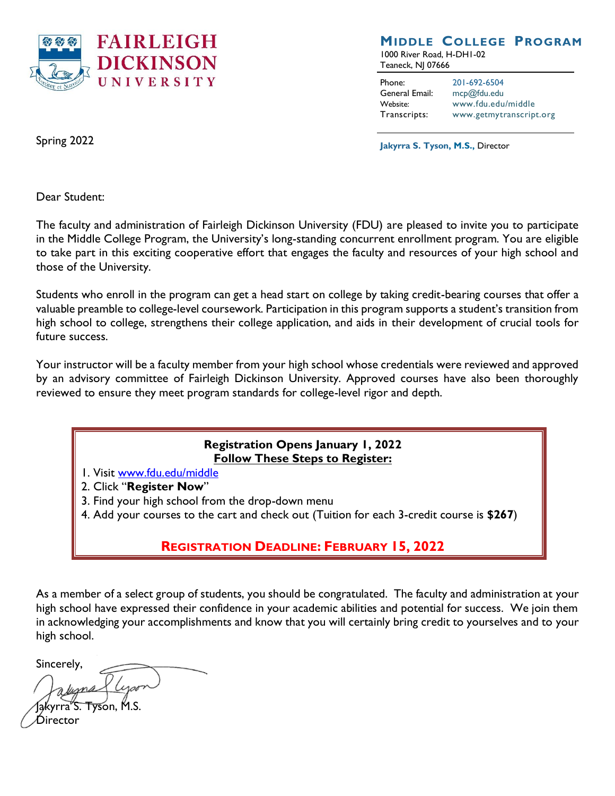

## **MIDDLE COLLEGE PROGRAM**

1000 River Road, H-DH1-02 Teaneck, NJ 07666

Phone: 201-692-6504 General Email: [mcp@fdu.edu](mailto:mcp@fdu.edu) Website: [www.fdu.edu/middle](file:///C:/Users/J.Mitch/Downloads/www.fdu.edu/middle) Transcripts: [www.getmytranscript.org](file:///C:/Users/J.Mitch/Downloads/www.getmytranscript.org)

**Jakyrra S. Tyson, M.S.,** Director

Spring 2022

Dear Student:

The faculty and administration of Fairleigh Dickinson University (FDU) are pleased to invite you to participate in the Middle College Program, the University's long-standing concurrent enrollment program. You are eligible to take part in this exciting cooperative effort that engages the faculty and resources of your high school and those of the University.

Students who enroll in the program can get a head start on college by taking credit-bearing courses that offer a valuable preamble to college-level coursework. Participation in this program supports a student's transition from high school to college, strengthens their college application, and aids in their development of crucial tools for future success.

Your instructor will be a faculty member from your high school whose credentials were reviewed and approved by an advisory committee of Fairleigh Dickinson University. Approved courses have also been thoroughly reviewed to ensure they meet program standards for college-level rigor and depth.

#### **Registration Opens January 1, 2022 Follow These Steps to Register:**

- 1. Visit [www.fdu.edu/middle](http://www.fdu.edu/middle)
- 2. Click "**[Register Now](https://fduelevate.fdu.edu/catalog/middle-college-program/)**"
- 3. Find your high school from the drop-down menu
- 4. Add your courses to the cart and check out (Tuition for each 3-credit course is **\$267**)

# **REGISTRATION DEADLINE: FEBRUARY 15, 2022**

As a member of a select group of students, you should be congratulated. The faculty and administration at your high school have expressed their confidence in your academic abilities and potential for success. We join them in acknowledging your accomplishments and know that you will certainly bring credit to yourselves and to your high school.

Sincerely,

<del>Tys</del>on, M.S. Director